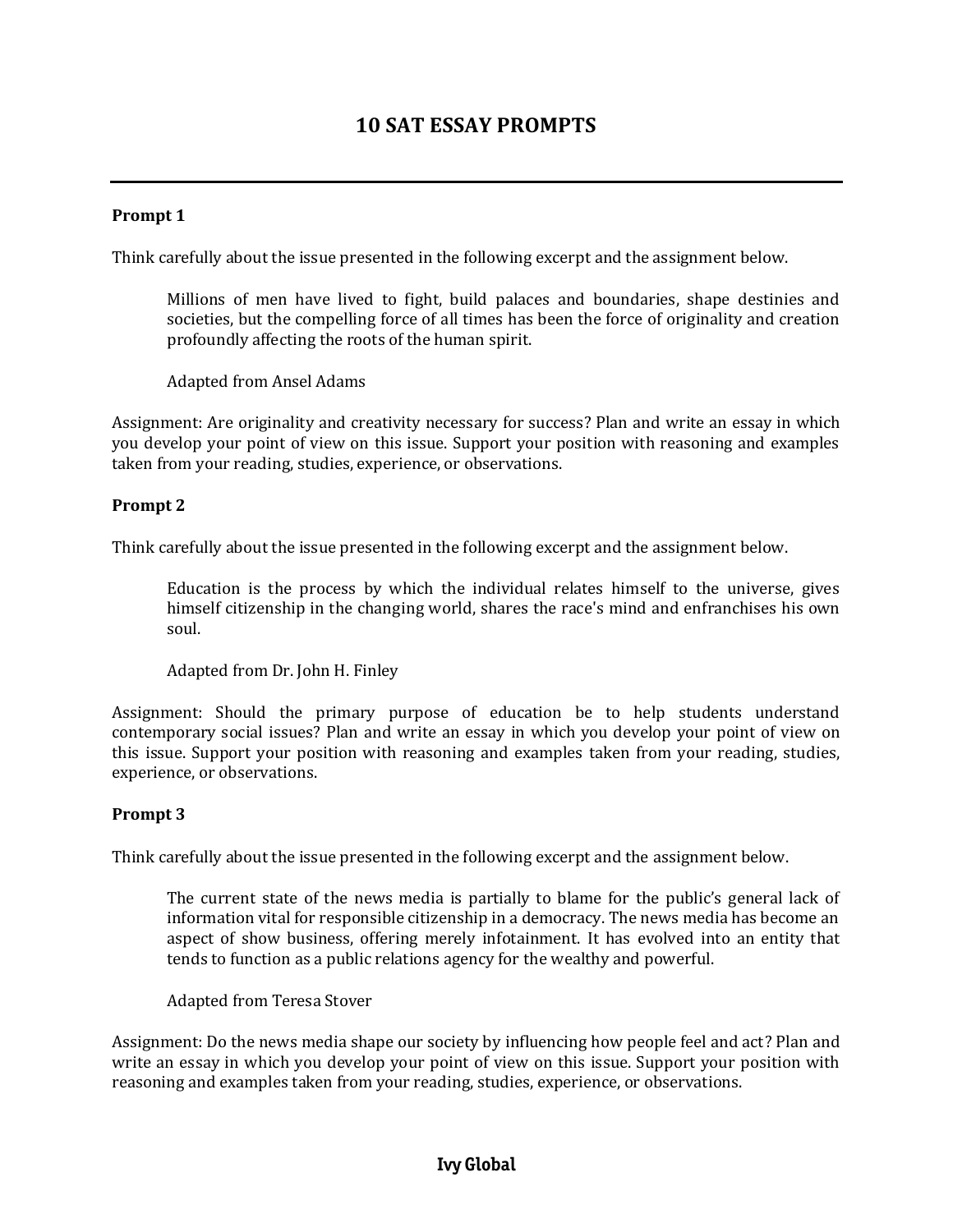# **10 SAT ESSAY PROMPTS**

#### **Prompt 1**

Think carefully about the issue presented in the following excerpt and the assignment below.

Millions of men have lived to fight, build palaces and boundaries, shape destinies and societies, but the compelling force of all times has been the force of originality and creation profoundly affecting the roots of the human spirit.

Adapted from Ansel Adams

Assignment: Are originality and creativity necessary for success? Plan and write an essay in which you develop your point of view on this issue. Support your position with reasoning and examples taken from your reading, studies, experience, or observations.

#### **Prompt 2**

Think carefully about the issue presented in the following excerpt and the assignment below.

Education is the process by which the individual relates himself to the universe, gives himself citizenship in the changing world, shares the race's mind and enfranchises his own soul.

Adapted from Dr. John H. Finley

Assignment: Should the primary purpose of education be to help students understand contemporary social issues? Plan and write an essay in which you develop your point of view on this issue. Support your position with reasoning and examples taken from your reading, studies, experience, or observations.

#### **Prompt 3**

Think carefully about the issue presented in the following excerpt and the assignment below.

The current state of the news media is partially to blame for the public's general lack of information vital for responsible citizenship in a democracy. The news media has become an aspect of show business, offering merely infotainment. It has evolved into an entity that tends to function as a public relations agency for the wealthy and powerful.

Adapted from Teresa Stover

Assignment: Do the news media shape our society by influencing how people feel and act? Plan and write an essay in which you develop your point of view on this issue. Support your position with reasoning and examples taken from your reading, studies, experience, or observations.

# **Ivy Global**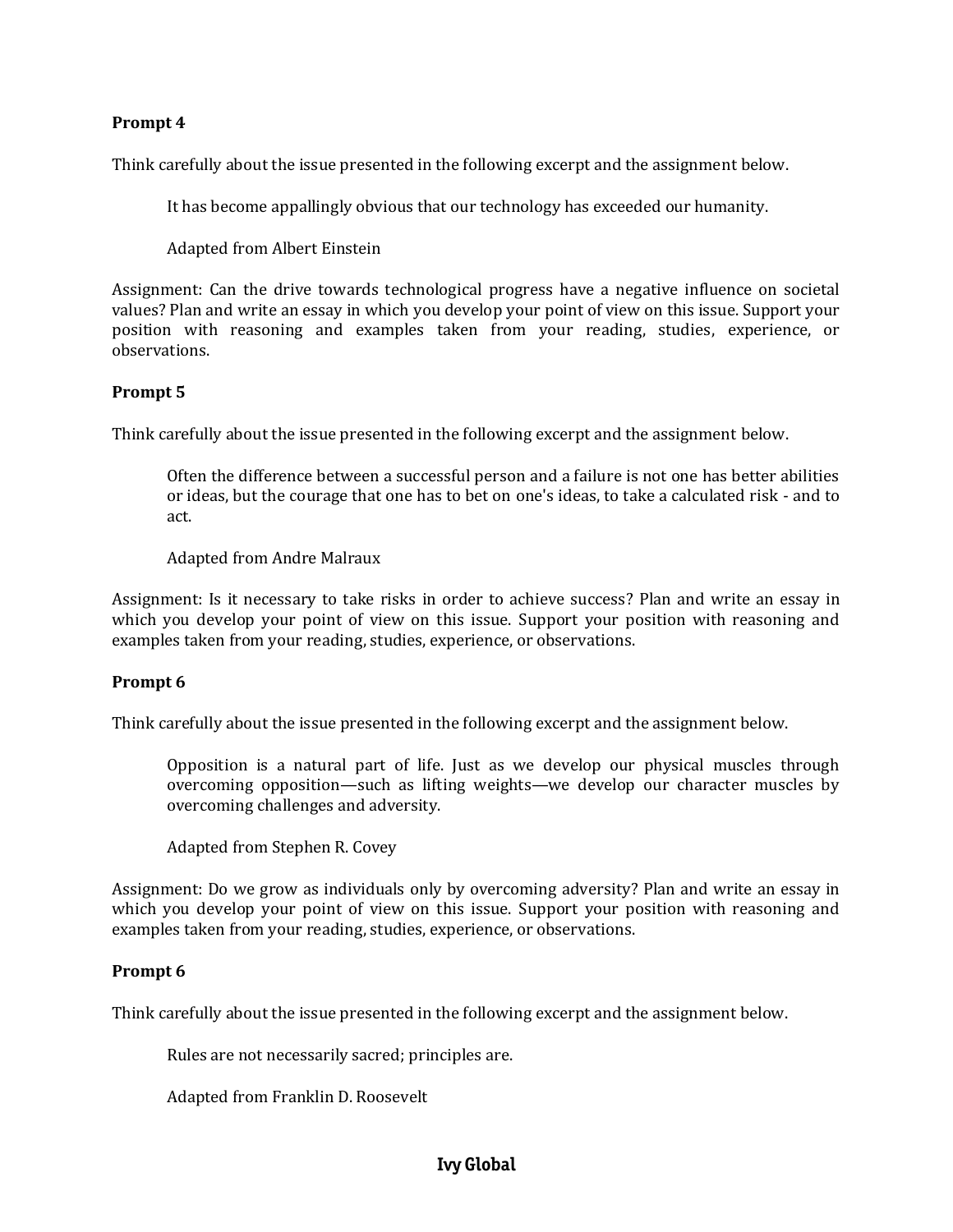#### **Prompt 4**

Think carefully about the issue presented in the following excerpt and the assignment below.

It has become appallingly obvious that our technology has exceeded our humanity.

Adapted from Albert Einstein

Assignment: Can the drive towards technological progress have a negative influence on societal values? Plan and write an essay in which you develop your point of view on this issue. Support your position with reasoning and examples taken from your reading, studies, experience, or observations.

#### **Prompt 5**

Think carefully about the issue presented in the following excerpt and the assignment below.

Often the difference between a successful person and a failure is not one has better abilities or ideas, but the courage that one has to bet on one's ideas, to take a calculated risk - and to act.

Adapted from Andre Malraux

Assignment: Is it necessary to take risks in order to achieve success? Plan and write an essay in which you develop your point of view on this issue. Support your position with reasoning and examples taken from your reading, studies, experience, or observations.

#### **Prompt 6**

Think carefully about the issue presented in the following excerpt and the assignment below.

Opposition is a natural part of life. Just as we develop our physical muscles through overcoming opposition—such as lifting weights—we develop our character muscles by overcoming challenges and adversity.

Adapted from Stephen R. Covey

Assignment: Do we grow as individuals only by overcoming adversity? Plan and write an essay in which you develop your point of view on this issue. Support your position with reasoning and examples taken from your reading, studies, experience, or observations.

#### **Prompt 6**

Think carefully about the issue presented in the following excerpt and the assignment below.

Rules are not necessarily sacred; principles are.

Adapted from Franklin D. Roosevelt

# **Ivy Global**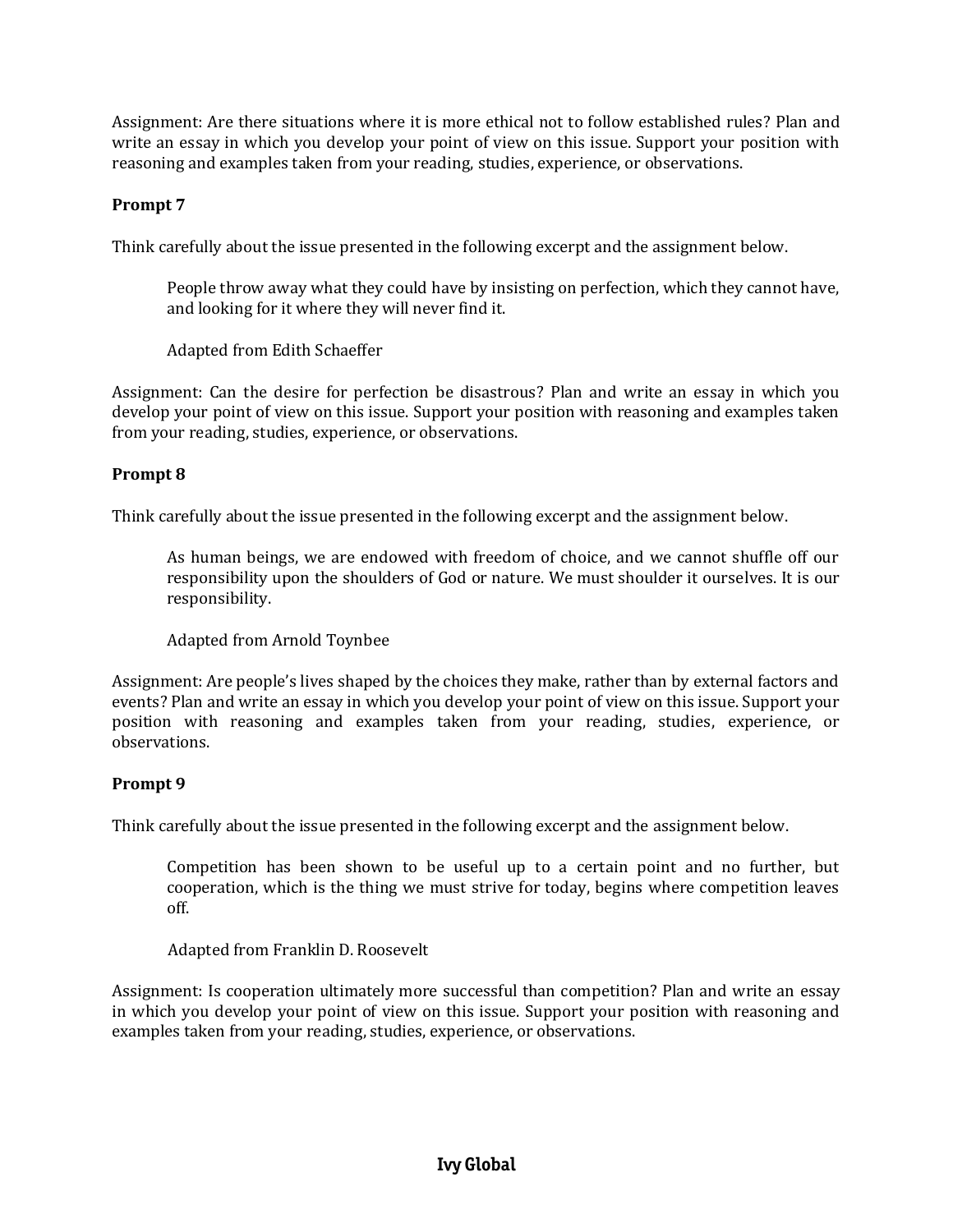Assignment: Are there situations where it is more ethical not to follow established rules? Plan and write an essay in which you develop your point of view on this issue. Support your position with reasoning and examples taken from your reading, studies, experience, or observations.

# **Prompt 7**

Think carefully about the issue presented in the following excerpt and the assignment below.

People throw away what they could have by insisting on perfection, which they cannot have, and looking for it where they will never find it.

Adapted from Edith Schaeffer

Assignment: Can the desire for perfection be disastrous? Plan and write an essay in which you develop your point of view on this issue. Support your position with reasoning and examples taken from your reading, studies, experience, or observations.

## **Prompt 8**

Think carefully about the issue presented in the following excerpt and the assignment below.

As human beings, we are endowed with freedom of choice, and we cannot shuffle off our responsibility upon the shoulders of God or nature. We must shoulder it ourselves. It is our responsibility.

Adapted from Arnold Toynbee

Assignment: Are people's lives shaped by the choices they make, rather than by external factors and events? Plan and write an essay in which you develop your point of view on this issue. Support your position with reasoning and examples taken from your reading, studies, experience, or observations.

## **Prompt 9**

Think carefully about the issue presented in the following excerpt and the assignment below.

Competition has been shown to be useful up to a certain point and no further, but cooperation, which is the thing we must strive for today, begins where competition leaves off.

Adapted from Franklin D. Roosevelt

Assignment: Is cooperation ultimately more successful than competition? Plan and write an essay in which you develop your point of view on this issue. Support your position with reasoning and examples taken from your reading, studies, experience, or observations.